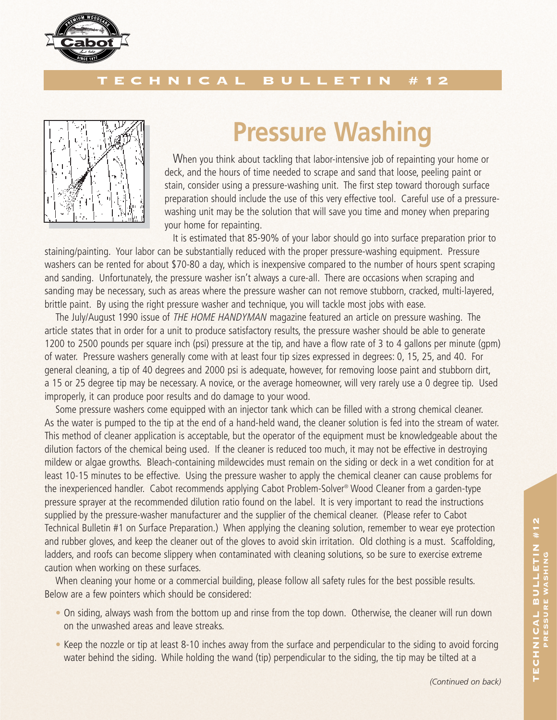

## TECHNICAL BULLETIN #12



## **Pressure Washing**

When you think about tackling that labor-intensive job of repainting your home or deck, and the hours of time needed to scrape and sand that loose, peeling paint or stain, consider using a pressure-washing unit. The first step toward thorough surface preparation should include the use of this very effective tool. Careful use of a pressurewashing unit may be the solution that will save you time and money when preparing your home for repainting.

It is estimated that 85-90% of your labor should go into surface preparation prior to staining/painting. Your labor can be substantially reduced with the proper pressure-washing equipment. Pressure washers can be rented for about \$70-80 a day, which is inexpensive compared to the number of hours spent scraping and sanding. Unfortunately, the pressure washer isn't always a cure-all. There are occasions when scraping and sanding may be necessary, such as areas where the pressure washer can not remove stubborn, cracked, multi-layered, brittle paint. By using the right pressure washer and technique, you will tackle most jobs with ease.

The July/August 1990 issue of THE HOME HANDYMAN magazine featured an article on pressure washing. The article states that in order for a unit to produce satisfactory results, the pressure washer should be able to generate 1200 to 2500 pounds per square inch (psi) pressure at the tip, and have a flow rate of 3 to 4 gallons per minute (gpm) of water. Pressure washers generally come with at least four tip sizes expressed in degrees: 0, 15, 25, and 40. For general cleaning, a tip of 40 degrees and 2000 psi is adequate, however, for removing loose paint and stubborn dirt, a 15 or 25 degree tip may be necessary. A novice, or the average homeowner, will very rarely use a 0 degree tip. Used improperly, it can produce poor results and do damage to your wood.

Some pressure washers come equipped with an injector tank which can be filled with a strong chemical cleaner. As the water is pumped to the tip at the end of a hand-held wand, the cleaner solution is fed into the stream of water. This method of cleaner application is acceptable, but the operator of the equipment must be knowledgeable about the dilution factors of the chemical being used. If the cleaner is reduced too much, it may not be effective in destroying mildew or algae growths. Bleach-containing mildewcides must remain on the siding or deck in a wet condition for at least 10-15 minutes to be effective. Using the pressure washer to apply the chemical cleaner can cause problems for the inexperienced handler. Cabot recommends applying Cabot Problem-Solver® Wood Cleaner from a garden-type pressure sprayer at the recommended dilution ratio found on the label. It is very important to read the instructions supplied by the pressure-washer manufacturer and the supplier of the chemical cleaner. (Please refer to Cabot Technical Bulletin #1 on Surface Preparation.) When applying the cleaning solution, remember to wear eye protection and rubber gloves, and keep the cleaner out of the gloves to avoid skin irritation. Old clothing is a must. Scaffolding, ladders, and roofs can become slippery when contaminated with cleaning solutions, so be sure to exercise extreme caution when working on these surfaces.

When cleaning your home or a commercial building, please follow all safety rules for the best possible results. Below are a few pointers which should be considered:

- On siding, always wash from the bottom up and rinse from the top down. Otherwise, the cleaner will run down on the unwashed areas and leave streaks.
- Keep the nozzle or tip at least 8-10 inches away from the surface and perpendicular to the siding to avoid forcing water behind the siding. While holding the wand (tip) perpendicular to the siding, the tip may be tilted at a